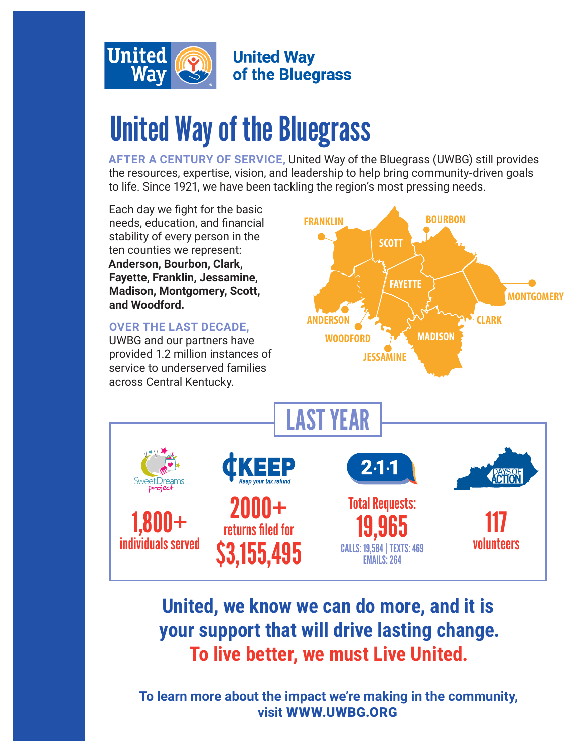

**United Way** of the Bluegrass

# United Way of the Bluegrass

**AFTER A CENTURY OF SERVICE,** United Way of the Bluegrass (UWBG) still provides the resources, expertise, vision, and leadership to help bring community-driven goals to life. Since 1921, we have been tackling the region's most pressing needs.



### **United, we know we can do more, and it is your support that will drive lasting change. To live better, we must Live United.**

**To learn more about the impact we're making in the community, visit** WWW.UWBG.ORG